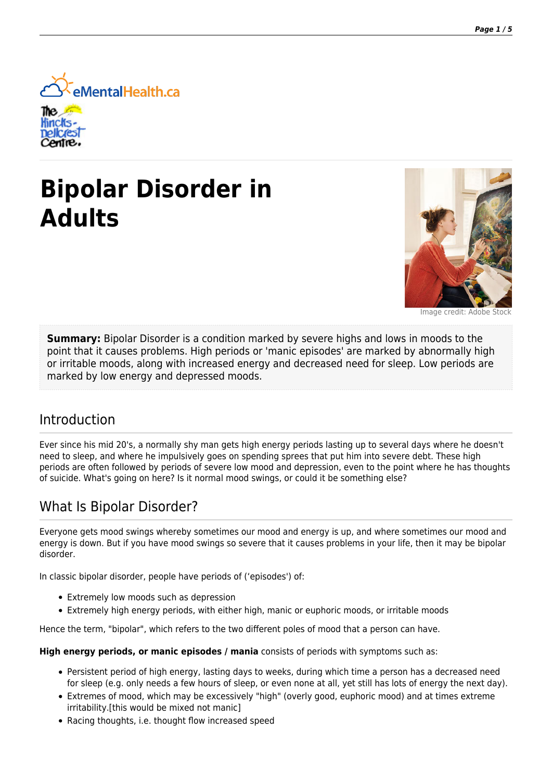

# **Bipolar Disorder in Adults**



Image credit: Adobe

**Summary:** Bipolar Disorder is a condition marked by severe highs and lows in moods to the point that it causes problems. High periods or 'manic episodes' are marked by abnormally high or irritable moods, along with increased energy and decreased need for sleep. Low periods are marked by low energy and depressed moods.

### Introduction

Ever since his mid 20's, a normally shy man gets high energy periods lasting up to several days where he doesn't need to sleep, and where he impulsively goes on spending sprees that put him into severe debt. These high periods are often followed by periods of severe low mood and depression, even to the point where he has thoughts of suicide. What's going on here? Is it normal mood swings, or could it be something else?

### What Is Bipolar Disorder?

Everyone gets mood swings whereby sometimes our mood and energy is up, and where sometimes our mood and energy is down. But if you have mood swings so severe that it causes problems in your life, then it may be bipolar disorder.

In classic bipolar disorder, people have periods of ('episodes') of:

- Extremely low moods such as depression
- Extremely high energy periods, with either high, manic or euphoric moods, or irritable moods

Hence the term, "bipolar", which refers to the two different poles of mood that a person can have.

**High energy periods, or manic episodes / mania** consists of periods with symptoms such as:

- Persistent period of high energy, lasting days to weeks, during which time a person has a decreased need for sleep (e.g. only needs a few hours of sleep, or even none at all, yet still has lots of energy the next day).
- Extremes of mood, which may be excessively "high" (overly good, euphoric mood) and at times extreme irritability.[this would be mixed not manic]
- Racing thoughts, i.e. thought flow increased speed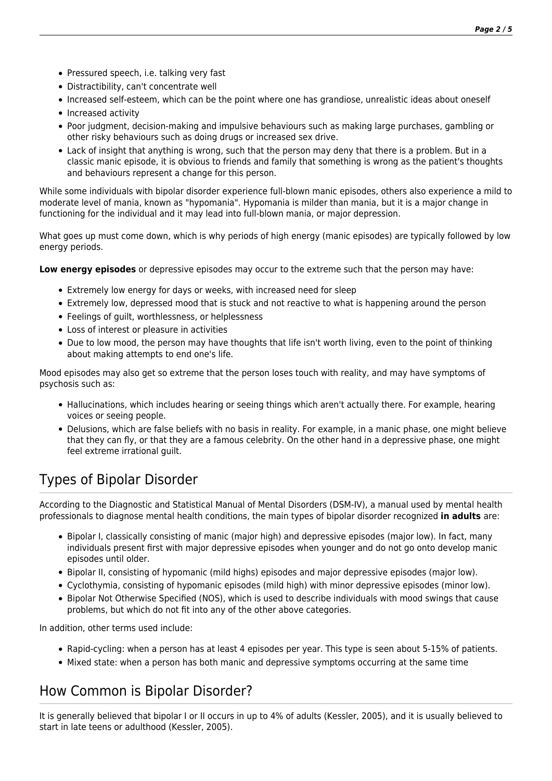- Pressured speech, i.e. talking very fast
- Distractibility, can't concentrate well
- Increased self-esteem, which can be the point where one has grandiose, unrealistic ideas about oneself
- Increased activity
- Poor judgment, decision-making and impulsive behaviours such as making large purchases, gambling or other risky behaviours such as doing drugs or increased sex drive.
- Lack of insight that anything is wrong, such that the person may deny that there is a problem. But in a classic manic episode, it is obvious to friends and family that something is wrong as the patient's thoughts and behaviours represent a change for this person.

While some individuals with bipolar disorder experience full-blown manic episodes, others also experience a mild to moderate level of mania, known as "hypomania". Hypomania is milder than mania, but it is a major change in functioning for the individual and it may lead into full-blown mania, or major depression.

What goes up must come down, which is why periods of high energy (manic episodes) are typically followed by low energy periods.

**Low energy episodes** or depressive episodes may occur to the extreme such that the person may have:

- Extremely low energy for days or weeks, with increased need for sleep
- Extremely low, depressed mood that is stuck and not reactive to what is happening around the person
- Feelings of guilt, worthlessness, or helplessness
- Loss of interest or pleasure in activities
- Due to low mood, the person may have thoughts that life isn't worth living, even to the point of thinking about making attempts to end one's life.

Mood episodes may also get so extreme that the person loses touch with reality, and may have symptoms of psychosis such as:

- Hallucinations, which includes hearing or seeing things which aren't actually there. For example, hearing voices or seeing people.
- Delusions, which are false beliefs with no basis in reality. For example, in a manic phase, one might believe that they can fly, or that they are a famous celebrity. On the other hand in a depressive phase, one might feel extreme irrational guilt.

# Types of Bipolar Disorder

According to the Diagnostic and Statistical Manual of Mental Disorders (DSM-IV), a manual used by mental health professionals to diagnose mental health conditions, the main types of bipolar disorder recognized **in adults** are:

- Bipolar I, classically consisting of manic (major high) and depressive episodes (major low). In fact, many individuals present first with major depressive episodes when younger and do not go onto develop manic episodes until older.
- Bipolar II, consisting of hypomanic (mild highs) episodes and major depressive episodes (major low).
- Cyclothymia, consisting of hypomanic episodes (mild high) with minor depressive episodes (minor low).
- Bipolar Not Otherwise Specified (NOS), which is used to describe individuals with mood swings that cause problems, but which do not fit into any of the other above categories.

In addition, other terms used include:

- Rapid-cycling: when a person has at least 4 episodes per year. This type is seen about 5-15% of patients.
- Mixed state: when a person has both manic and depressive symptoms occurring at the same time

# How Common is Bipolar Disorder?

It is generally believed that bipolar I or II occurs in up to 4% of adults (Kessler, 2005), and it is usually believed to start in late teens or adulthood (Kessler, 2005).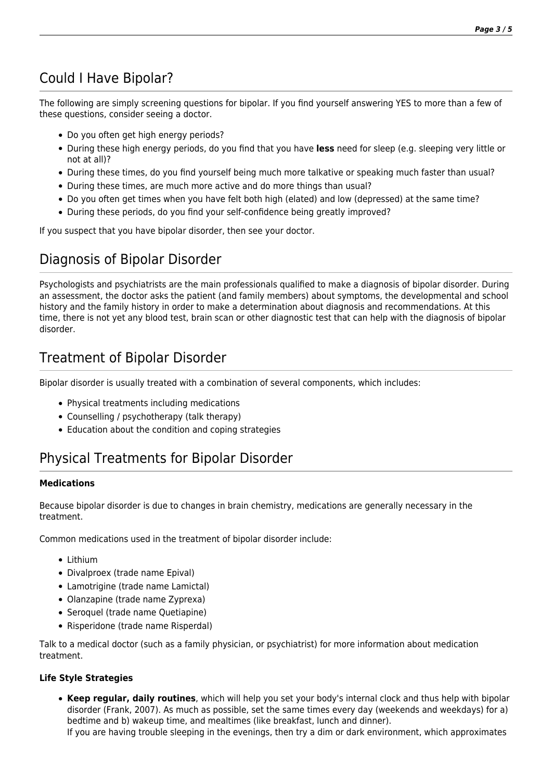# Could I Have Bipolar?

The following are simply screening questions for bipolar. If you find yourself answering YES to more than a few of these questions, consider seeing a doctor.

- Do you often get high energy periods?
- During these high energy periods, do you find that you have **less** need for sleep (e.g. sleeping very little or not at all)?
- During these times, do you find yourself being much more talkative or speaking much faster than usual?
- During these times, are much more active and do more things than usual?
- Do you often get times when you have felt both high (elated) and low (depressed) at the same time?
- During these periods, do you find your self-confidence being greatly improved?

If you suspect that you have bipolar disorder, then see your doctor.

# Diagnosis of Bipolar Disorder

Psychologists and psychiatrists are the main professionals qualified to make a diagnosis of bipolar disorder. During an assessment, the doctor asks the patient (and family members) about symptoms, the developmental and school history and the family history in order to make a determination about diagnosis and recommendations. At this time, there is not yet any blood test, brain scan or other diagnostic test that can help with the diagnosis of bipolar disorder.

# Treatment of Bipolar Disorder

Bipolar disorder is usually treated with a combination of several components, which includes:

- Physical treatments including medications
- Counselling / psychotherapy (talk therapy)
- Education about the condition and coping strategies

# Physical Treatments for Bipolar Disorder

#### **Medications**

Because bipolar disorder is due to changes in brain chemistry, medications are generally necessary in the treatment.

Common medications used in the treatment of bipolar disorder include:

- Lithium
- Divalproex (trade name Epival)
- Lamotrigine (trade name Lamictal)
- Olanzapine (trade name Zyprexa)
- Seroquel (trade name Quetiapine)
- Risperidone (trade name Risperdal)

Talk to a medical doctor (such as a family physician, or psychiatrist) for more information about medication treatment.

#### **Life Style Strategies**

**Keep regular, daily routines**, which will help you set your body's internal clock and thus help with bipolar disorder (Frank, 2007). As much as possible, set the same times every day (weekends and weekdays) for a) bedtime and b) wakeup time, and mealtimes (like breakfast, lunch and dinner). If you are having trouble sleeping in the evenings, then try a dim or dark environment, which approximates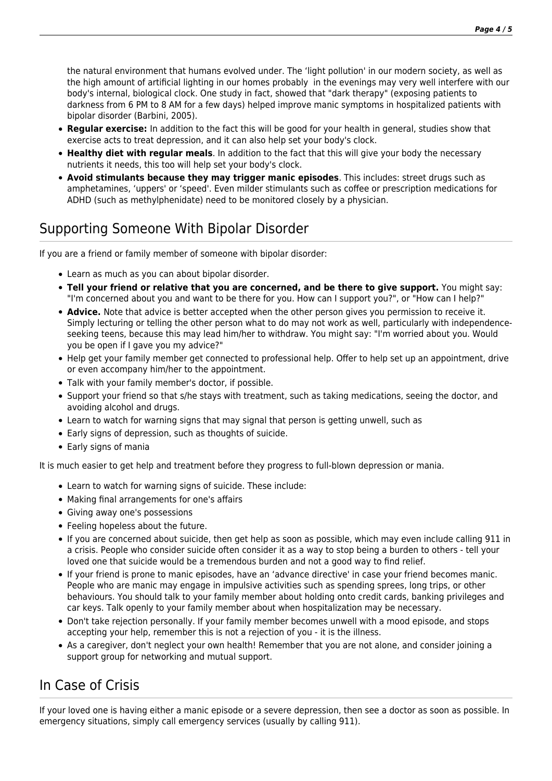the natural environment that humans evolved under. The 'light pollution' in our modern society, as well as the high amount of artificial lighting in our homes probably in the evenings may very well interfere with our body's internal, biological clock. One study in fact, showed that "dark therapy" (exposing patients to darkness from 6 PM to 8 AM for a few days) helped improve manic symptoms in hospitalized patients with bipolar disorder (Barbini, 2005).

- **Regular exercise:** In addition to the fact this will be good for your health in general, studies show that exercise acts to treat depression, and it can also help set your body's clock.
- **Healthy diet with regular meals**. In addition to the fact that this will give your body the necessary nutrients it needs, this too will help set your body's clock.
- **Avoid stimulants because they may trigger manic episodes**. This includes: street drugs such as amphetamines, 'uppers' or 'speed'. Even milder stimulants such as coffee or prescription medications for ADHD (such as methylphenidate) need to be monitored closely by a physician.

# Supporting Someone With Bipolar Disorder

If you are a friend or family member of someone with bipolar disorder:

- Learn as much as you can about bipolar disorder.
- **Tell your friend or relative that you are concerned, and be there to give support.** You might say: "I'm concerned about you and want to be there for you. How can I support you?", or "How can I help?"
- **Advice.** Note that advice is better accepted when the other person gives you permission to receive it. Simply lecturing or telling the other person what to do may not work as well, particularly with independenceseeking teens, because this may lead him/her to withdraw. You might say: "I'm worried about you. Would you be open if I gave you my advice?"
- Help get your family member get connected to professional help. Offer to help set up an appointment, drive or even accompany him/her to the appointment.
- Talk with your family member's doctor, if possible.
- Support your friend so that s/he stays with treatment, such as taking medications, seeing the doctor, and avoiding alcohol and drugs.
- Learn to watch for warning signs that may signal that person is getting unwell, such as
- Early signs of depression, such as thoughts of suicide.
- Early signs of mania

It is much easier to get help and treatment before they progress to full-blown depression or mania.

- Learn to watch for warning signs of suicide. These include:
- Making final arrangements for one's affairs
- Giving away one's possessions
- Feeling hopeless about the future.
- If you are concerned about suicide, then get help as soon as possible, which may even include calling 911 in a crisis. People who consider suicide often consider it as a way to stop being a burden to others - tell your loved one that suicide would be a tremendous burden and not a good way to find relief.
- If your friend is prone to manic episodes, have an 'advance directive' in case your friend becomes manic. People who are manic may engage in impulsive activities such as spending sprees, long trips, or other behaviours. You should talk to your family member about holding onto credit cards, banking privileges and car keys. Talk openly to your family member about when hospitalization may be necessary.
- Don't take rejection personally. If your family member becomes unwell with a mood episode, and stops accepting your help, remember this is not a rejection of you - it is the illness.
- As a caregiver, don't neglect your own health! Remember that you are not alone, and consider joining a support group for networking and mutual support.

### In Case of Crisis

If your loved one is having either a manic episode or a severe depression, then see a doctor as soon as possible. In emergency situations, simply call emergency services (usually by calling 911).